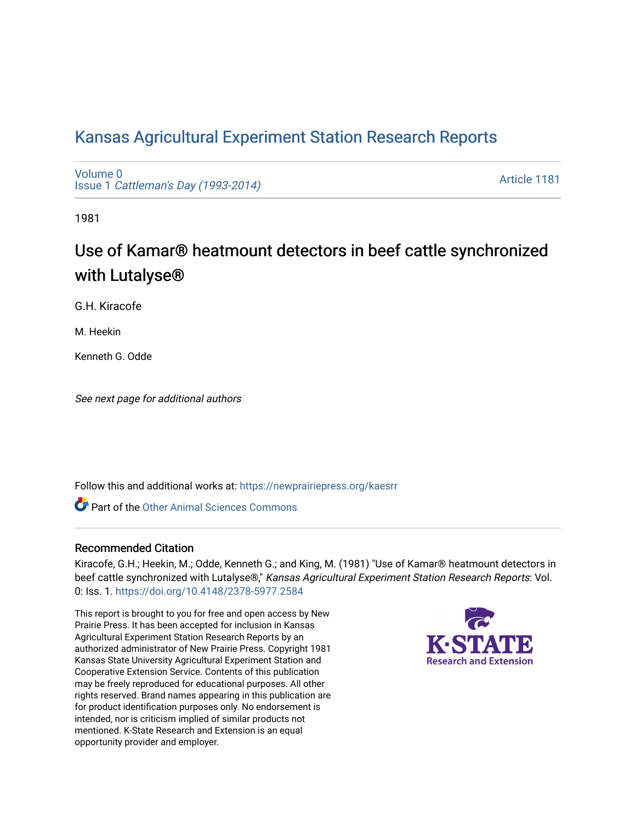## [Kansas Agricultural Experiment Station Research Reports](https://newprairiepress.org/kaesrr)

[Volume 0](https://newprairiepress.org/kaesrr/vol0) Issue 1 [Cattleman's Day \(1993-2014\)](https://newprairiepress.org/kaesrr/vol0/iss1) 

[Article 1181](https://newprairiepress.org/kaesrr/vol0/iss1/1181) 

1981

# Use of Kamar® heatmount detectors in beef cattle synchronized with Lutalyse®

G.H. Kiracofe

M. Heekin

Kenneth G. Odde

See next page for additional authors

Follow this and additional works at: [https://newprairiepress.org/kaesrr](https://newprairiepress.org/kaesrr?utm_source=newprairiepress.org%2Fkaesrr%2Fvol0%2Fiss1%2F1181&utm_medium=PDF&utm_campaign=PDFCoverPages) 

**C** Part of the [Other Animal Sciences Commons](http://network.bepress.com/hgg/discipline/82?utm_source=newprairiepress.org%2Fkaesrr%2Fvol0%2Fiss1%2F1181&utm_medium=PDF&utm_campaign=PDFCoverPages)

#### Recommended Citation

Kiracofe, G.H.; Heekin, M.; Odde, Kenneth G.; and King, M. (1981) "Use of Kamar® heatmount detectors in beef cattle synchronized with Lutalyse®," Kansas Agricultural Experiment Station Research Reports: Vol. 0: Iss. 1.<https://doi.org/10.4148/2378-5977.2584>

This report is brought to you for free and open access by New Prairie Press. It has been accepted for inclusion in Kansas Agricultural Experiment Station Research Reports by an authorized administrator of New Prairie Press. Copyright 1981 Kansas State University Agricultural Experiment Station and Cooperative Extension Service. Contents of this publication may be freely reproduced for educational purposes. All other rights reserved. Brand names appearing in this publication are for product identification purposes only. No endorsement is intended, nor is criticism implied of similar products not mentioned. K-State Research and Extension is an equal opportunity provider and employer.

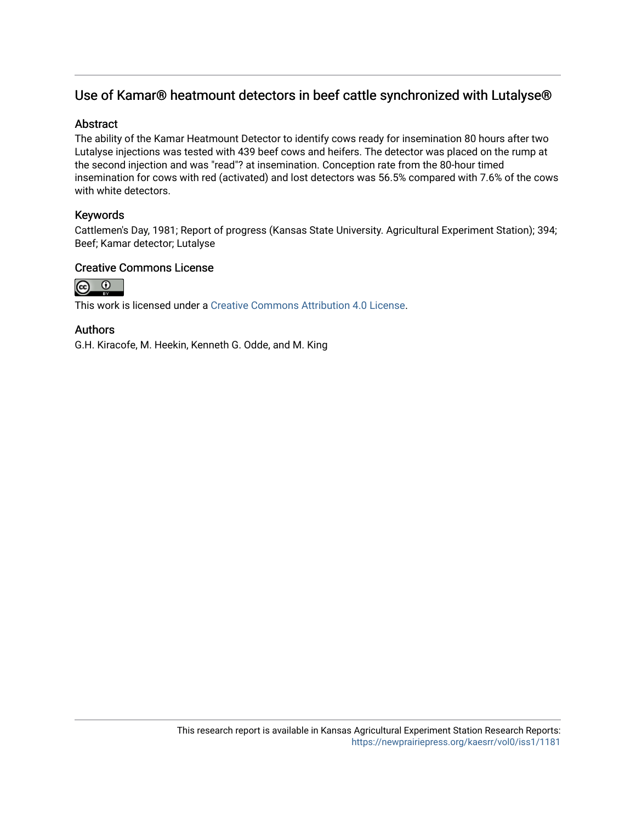### Use of Kamar® heatmount detectors in beef cattle synchronized with Lutalyse®

#### **Abstract**

The ability of the Kamar Heatmount Detector to identify cows ready for insemination 80 hours after two Lutalyse injections was tested with 439 beef cows and heifers. The detector was placed on the rump at the second injection and was "read"? at insemination. Conception rate from the 80-hour timed insemination for cows with red (activated) and lost detectors was 56.5% compared with 7.6% of the cows with white detectors.

#### Keywords

Cattlemen's Day, 1981; Report of progress (Kansas State University. Agricultural Experiment Station); 394; Beef; Kamar detector; Lutalyse

#### Creative Commons License



This work is licensed under a [Creative Commons Attribution 4.0 License](https://creativecommons.org/licenses/by/4.0/).

#### Authors

G.H. Kiracofe, M. Heekin, Kenneth G. Odde, and M. King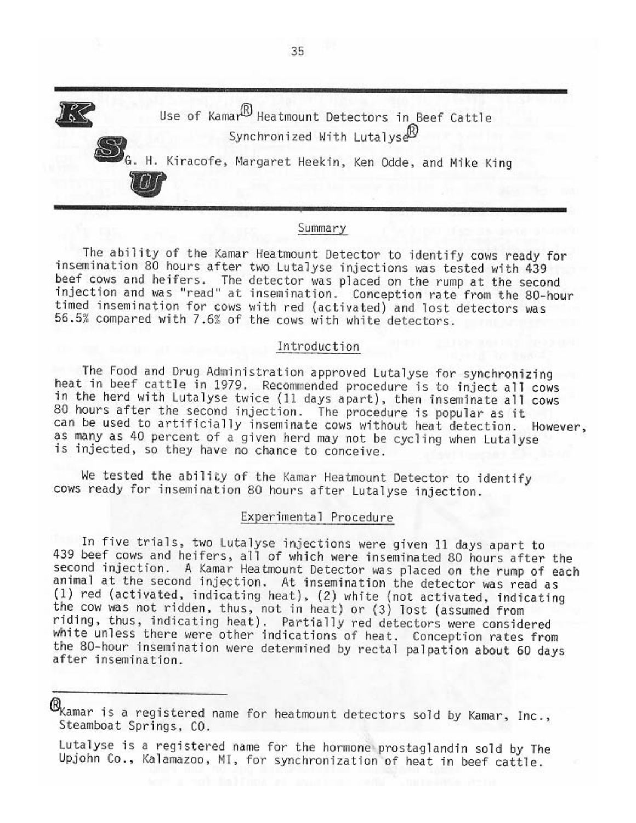

#### Summary

The ability of the Kamar Heatmount Detector to identify cows ready for insemination 80 hours after two Lutalyse injections was tested with 439 beef cows and heifers. The detector was placed on the rump at the second injection and was "read" at insemination. Conception rate from the 80-hour timed insemination for cows with red (activated) and lost detectors was 56.5% compared with 7.6% of the cows with white detectors.

#### Introduction

The Food and Drug Administration approved Lutalyse for synchronizing heat in beef cattle in 1979. Recommended procedure is to inject all cows in the herd with Lutalyse twice (11 days apart), then inseminate all cows 80 hours after the second injection. The procedure is popular as it can be used to artificially inseminate cows without heat detection. However, as many as 40 percent of a given herd may not be cycling when Lutalyse is injected, so they have no chance to conceive.

We tested the ability of the Kamar Heatmount Detector to identify cows ready for insemination 80 hours after Lutalyse injection.

#### Experimental Procedure

In five trials, two Lutalyse injections were given 11 days apart to 439 beef cows and heifers, all of which were inseminated 80 hours after the second injection. A Kamar Heatmount Detector was placed on the rump of each animal at the second injection. At insemination the detector was read as (1) red (activated, indicating heat), (2) white (not activated, indicating the cow was not ridden, thus, not in heat) or (3) lost (assumed from riding, thus, indicating heat). Partially red detectors were considered white unless there were other indications of heat. Conception rates from the 80-hour insemination were determined by rectal palpation about 60 days after insemination.

 $\mathbb{B}_{\!K\!{\rm amar}}$  is a registered name for heatmount detectors sold by Kamar, Inc., Steamboat Springs, CO.

Lutalyse is a registered name for the hormone prostaglandin sold by The Upjohn Co., Kalamazoo, MI, for synchronization of heat in beef cattle.